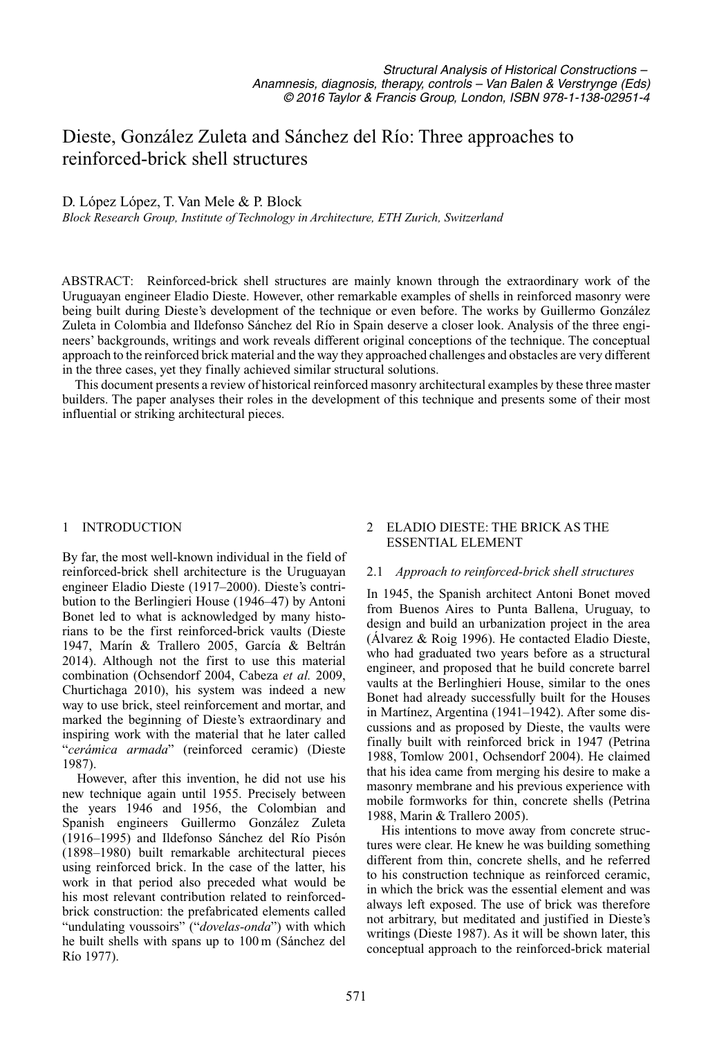# Dieste, González Zuleta and Sánchez del Río: Three approaches to reinforced-brick shell structures

# D. López López, T. Van Mele & P. Block

*Block Research Group, Institute of Technology in Architecture, ETH Zurich, Switzerland*

ABSTRACT: Reinforced-brick shell structures are mainly known through the extraordinary work of the Uruguayan engineer Eladio Dieste. However, other remarkable examples of shells in reinforced masonry were being built during Dieste's development of the technique or even before. The works by Guillermo González Zuleta in Colombia and Ildefonso Sánchez del Río in Spain deserve a closer look. Analysis of the three engineers' backgrounds, writings and work reveals different original conceptions of the technique. The conceptual approach to the reinforced brick material and the way they approached challenges and obstacles are very different in the three cases, yet they finally achieved similar structural solutions.

This document presents a review of historical reinforced masonry architectural examples by these three master builders. The paper analyses their roles in the development of this technique and presents some of their most influential or striking architectural pieces.

# 1 INTRODUCTION

By far, the most well-known individual in the field of reinforced-brick shell architecture is the Uruguayan engineer Eladio Dieste (1917–2000). Dieste's contribution to the Berlingieri House (1946–47) by Antoni Bonet led to what is acknowledged by many historians to be the first reinforced-brick vaults (Dieste 1947, Marín & Trallero 2005, García & Beltrán 2014). Although not the first to use this material combination (Ochsendorf 2004, Cabeza *et al.* 2009, Churtichaga 2010), his system was indeed a new way to use brick, steel reinforcement and mortar, and marked the beginning of Dieste's extraordinary and inspiring work with the material that he later called "*cerámica armada*" (reinforced ceramic) (Dieste 1987).

However, after this invention, he did not use his new technique again until 1955. Precisely between the years 1946 and 1956, the Colombian and Spanish engineers Guillermo González Zuleta (1916–1995) and Ildefonso Sánchez del Río Pisón (1898–1980) built remarkable architectural pieces using reinforced brick. In the case of the latter, his work in that period also preceded what would be his most relevant contribution related to reinforcedbrick construction: the prefabricated elements called "undulating voussoirs" ("*dovelas-onda*") with which he built shells with spans up to 100 m (Sánchez del Río 1977).

# 2 ELADIO DIESTE: THE BRICK AS THE ESSENTIAL ELEMENT

# 2.1 *Approach to reinforced-brick shell structures*

In 1945, the Spanish architect Antoni Bonet moved from Buenos Aires to Punta Ballena, Uruguay, to design and build an urbanization project in the area (Álvarez & Roig 1996). He contacted Eladio Dieste, who had graduated two years before as a structural engineer, and proposed that he build concrete barrel vaults at the Berlinghieri House, similar to the ones Bonet had already successfully built for the Houses in Martínez, Argentina (1941–1942). After some discussions and as proposed by Dieste, the vaults were finally built with reinforced brick in 1947 (Petrina 1988, Tomlow 2001, Ochsendorf 2004). He claimed that his idea came from merging his desire to make a masonry membrane and his previous experience with mobile formworks for thin, concrete shells (Petrina 1988, Marin & Trallero 2005).

His intentions to move away from concrete structures were clear. He knew he was building something different from thin, concrete shells, and he referred to his construction technique as reinforced ceramic, in which the brick was the essential element and was always left exposed. The use of brick was therefore not arbitrary, but meditated and justified in Dieste's writings (Dieste 1987). As it will be shown later, this conceptual approach to the reinforced-brick material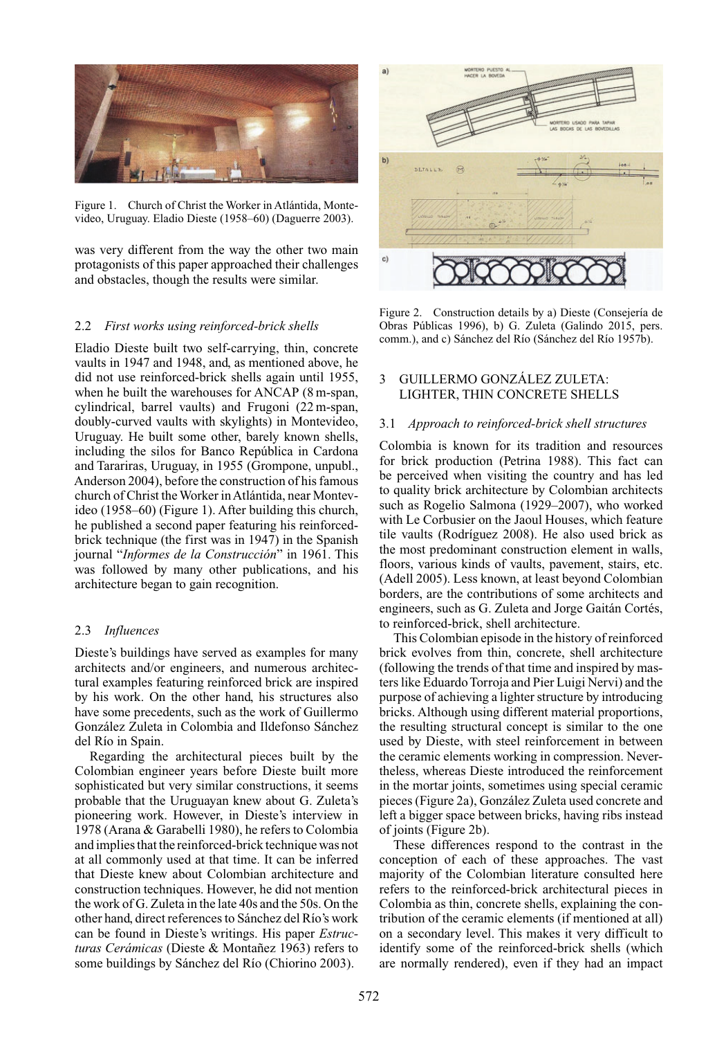

Figure 1. Church of Christ the Worker in Atlántida, Montevideo, Uruguay. Eladio Dieste (1958–60) (Daguerre 2003).

was very different from the way the other two main protagonists of this paper approached their challenges and obstacles, though the results were similar.

# 2.2 *First works using reinforced-brick shells*

Eladio Dieste built two self-carrying, thin, concrete vaults in 1947 and 1948, and, as mentioned above, he did not use reinforced-brick shells again until 1955, when he built the warehouses for ANCAP (8 m-span, cylindrical, barrel vaults) and Frugoni (22 m-span, doubly-curved vaults with skylights) in Montevideo, Uruguay. He built some other, barely known shells, including the silos for Banco República in Cardona and Tarariras, Uruguay, in 1955 (Grompone, unpubl., Anderson 2004), before the construction of his famous church of Christ the Worker inAtlántida, near Montevideo (1958–60) (Figure 1). After building this church, he published a second paper featuring his reinforcedbrick technique (the first was in 1947) in the Spanish journal "*Informes de la Construcción*" in 1961. This was followed by many other publications, and his architecture began to gain recognition.

## 2.3 *Influences*

Dieste's buildings have served as examples for many architects and/or engineers, and numerous architectural examples featuring reinforced brick are inspired by his work. On the other hand, his structures also have some precedents, such as the work of Guillermo González Zuleta in Colombia and Ildefonso Sánchez del Río in Spain.

Regarding the architectural pieces built by the Colombian engineer years before Dieste built more sophisticated but very similar constructions, it seems probable that the Uruguayan knew about G. Zuleta's pioneering work. However, in Dieste's interview in 1978 (Arana & Garabelli 1980), he refers to Colombia and implies that the reinforced-brick technique was not at all commonly used at that time. It can be inferred that Dieste knew about Colombian architecture and construction techniques. However, he did not mention the work of G. Zuleta in the late 40s and the 50s. On the other hand, direct references to Sánchez del Río's work can be found in Dieste's writings. His paper *Estructuras Cerámicas* (Dieste & Montañez 1963) refers to some buildings by Sánchez del Río (Chiorino 2003).



Figure 2. Construction details by a) Dieste (Consejería de Obras Públicas 1996), b) G. Zuleta (Galindo 2015, pers. comm.), and c) Sánchez del Río (Sánchez del Río 1957b).

# 3 GUILLERMO GONZÁLEZ ZULETA: LIGHTER, THIN CONCRETE SHELLS

#### 3.1 *Approach to reinforced-brick shell structures*

Colombia is known for its tradition and resources for brick production (Petrina 1988). This fact can be perceived when visiting the country and has led to quality brick architecture by Colombian architects such as Rogelio Salmona (1929–2007), who worked with Le Corbusier on the Jaoul Houses, which feature tile vaults (Rodríguez 2008). He also used brick as the most predominant construction element in walls, floors, various kinds of vaults, pavement, stairs, etc. (Adell 2005). Less known, at least beyond Colombian borders, are the contributions of some architects and engineers, such as G. Zuleta and Jorge Gaitán Cortés, to reinforced-brick, shell architecture.

This Colombian episode in the history of reinforced brick evolves from thin, concrete, shell architecture (following the trends of that time and inspired by masters like Eduardo Torroja and Pier Luigi Nervi) and the purpose of achieving a lighter structure by introducing bricks. Although using different material proportions, the resulting structural concept is similar to the one used by Dieste, with steel reinforcement in between the ceramic elements working in compression. Nevertheless, whereas Dieste introduced the reinforcement in the mortar joints, sometimes using special ceramic pieces (Figure 2a), González Zuleta used concrete and left a bigger space between bricks, having ribs instead of joints (Figure 2b).

These differences respond to the contrast in the conception of each of these approaches. The vast majority of the Colombian literature consulted here refers to the reinforced-brick architectural pieces in Colombia as thin, concrete shells, explaining the contribution of the ceramic elements (if mentioned at all) on a secondary level. This makes it very difficult to identify some of the reinforced-brick shells (which are normally rendered), even if they had an impact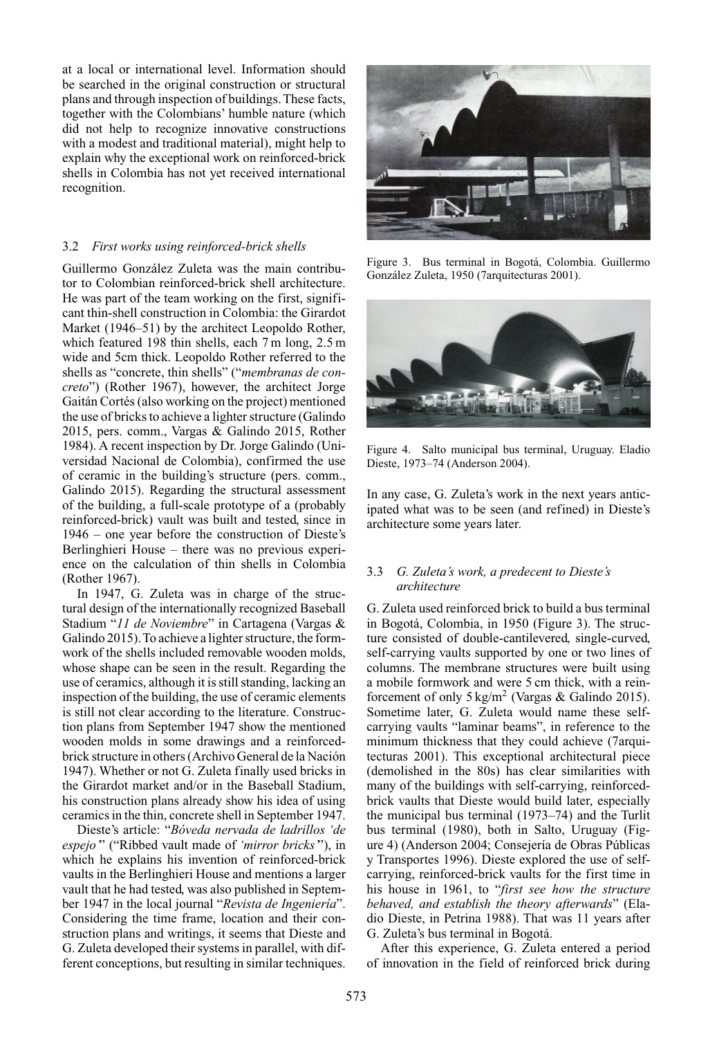at a local or international level. Information should be searched in the original construction or structural plans and through inspection of buildings. These facts, together with the Colombians' humble nature (which did not help to recognize innovative constructions with a modest and traditional material), might help to explain why the exceptional work on reinforced-brick shells in Colombia has not yet received international recognition.

## 3.2 *First works using reinforced-brick shells*

Guillermo González Zuleta was the main contributor to Colombian reinforced-brick shell architecture. He was part of the team working on the first, significant thin-shell construction in Colombia: the Girardot Market (1946–51) by the architect Leopoldo Rother, which featured 198 thin shells, each 7 m long, 2.5 m wide and 5cm thick. Leopoldo Rother referred to the shells as "concrete, thin shells" ("*membranas de concreto*") (Rother 1967), however, the architect Jorge Gaitán Cortés (also working on the project) mentioned the use of bricks to achieve a lighter structure (Galindo 2015, pers. comm., Vargas & Galindo 2015, Rother 1984). A recent inspection by Dr. Jorge Galindo (Universidad Nacional de Colombia), confirmed the use of ceramic in the building's structure (pers. comm., Galindo 2015). Regarding the structural assessment of the building, a full-scale prototype of a (probably reinforced-brick) vault was built and tested, since in 1946 – one year before the construction of Dieste's Berlinghieri House – there was no previous experience on the calculation of thin shells in Colombia (Rother 1967).

In 1947, G. Zuleta was in charge of the structural design of the internationally recognized Baseball Stadium "*11 de Noviembre*" in Cartagena (Vargas & Galindo 2015).To achieve a lighter structure, the formwork of the shells included removable wooden molds, whose shape can be seen in the result. Regarding the use of ceramics, although it is still standing, lacking an inspection of the building, the use of ceramic elements is still not clear according to the literature. Construction plans from September 1947 show the mentioned wooden molds in some drawings and a reinforcedbrick structure in others (Archivo General de la Nación 1947). Whether or not G. Zuleta finally used bricks in the Girardot market and/or in the Baseball Stadium, his construction plans already show his idea of using ceramics in the thin, concrete shell in September 1947.

Dieste's article: "*Bóveda nervada de ladrillos 'de espejo'*" ("Ribbed vault made of *'mirror bricks'*"), in which he explains his invention of reinforced-brick vaults in the Berlinghieri House and mentions a larger vault that he had tested, was also published in September 1947 in the local journal "*Revista de Ingeniería*". Considering the time frame, location and their construction plans and writings, it seems that Dieste and G. Zuleta developed their systems in parallel, with different conceptions, but resulting in similar techniques.



Figure 3. Bus terminal in Bogotá, Colombia. Guillermo González Zuleta, 1950 (7arquitecturas 2001).



Figure 4. Salto municipal bus terminal, Uruguay. Eladio Dieste, 1973–74 (Anderson 2004).

In any case, G. Zuleta's work in the next years anticipated what was to be seen (and refined) in Dieste's architecture some years later.

# 3.3 *G. Zuleta's work, a predecent to Dieste's architecture*

G. Zuleta used reinforced brick to build a bus terminal in Bogotá, Colombia, in 1950 (Figure 3). The structure consisted of double-cantilevered, single-curved, self-carrying vaults supported by one or two lines of columns. The membrane structures were built using a mobile formwork and were 5 cm thick, with a reinforcement of only  $5 \text{ kg/m}^2$  (Vargas & Galindo 2015). Sometime later, G. Zuleta would name these selfcarrying vaults "laminar beams", in reference to the minimum thickness that they could achieve (7arquitecturas 2001). This exceptional architectural piece (demolished in the 80s) has clear similarities with many of the buildings with self-carrying, reinforcedbrick vaults that Dieste would build later, especially the municipal bus terminal (1973–74) and the Turlit bus terminal (1980), both in Salto, Uruguay (Figure 4) (Anderson 2004; Consejería de Obras Públicas y Transportes 1996). Dieste explored the use of selfcarrying, reinforced-brick vaults for the first time in his house in 1961, to "*first see how the structure behaved, and establish the theory afterwards*" (Eladio Dieste, in Petrina 1988). That was 11 years after G. Zuleta's bus terminal in Bogotá.

After this experience, G. Zuleta entered a period of innovation in the field of reinforced brick during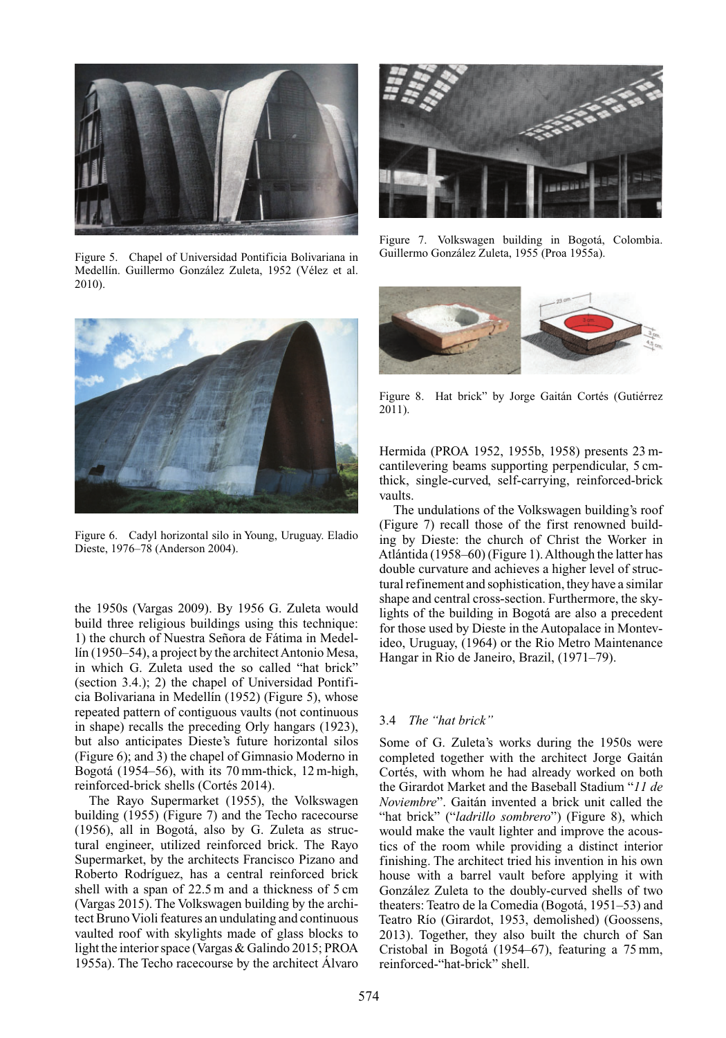

Figure 5. Chapel of Universidad Pontificia Bolivariana in Medellín. Guillermo González Zuleta, 1952 (Vélez et al. 2010).



Figure 6. Cadyl horizontal silo in Young, Uruguay. Eladio Dieste, 1976–78 (Anderson 2004).

the 1950s (Vargas 2009). By 1956 G. Zuleta would build three religious buildings using this technique: 1) the church of Nuestra Señora de Fátima in Medellín (1950–54), a project by the architect Antonio Mesa, in which G. Zuleta used the so called "hat brick" (section 3.4.); 2) the chapel of Universidad Pontificia Bolivariana in Medellín (1952) (Figure 5), whose repeated pattern of contiguous vaults (not continuous in shape) recalls the preceding Orly hangars (1923), but also anticipates Dieste's future horizontal silos (Figure 6); and 3) the chapel of Gimnasio Moderno in Bogotá (1954–56), with its 70 mm-thick, 12 m-high, reinforced-brick shells (Cortés 2014).

The Rayo Supermarket (1955), the Volkswagen building (1955) (Figure 7) and the Techo racecourse (1956), all in Bogotá, also by G. Zuleta as structural engineer, utilized reinforced brick. The Rayo Supermarket, by the architects Francisco Pizano and Roberto Rodríguez, has a central reinforced brick shell with a span of 22.5 m and a thickness of 5 cm (Vargas 2015). The Volkswagen building by the architect Bruno Violi features an undulating and continuous vaulted roof with skylights made of glass blocks to light the interior space (Vargas & Galindo 2015; PROA 1955a). The Techo racecourse by the architect Álvaro



Figure 7. Volkswagen building in Bogotá, Colombia. Guillermo González Zuleta, 1955 (Proa 1955a).



Figure 8. Hat brick" by Jorge Gaitán Cortés (Gutiérrez 2011).

Hermida (PROA 1952, 1955b, 1958) presents 23 mcantilevering beams supporting perpendicular, 5 cmthick, single-curved, self-carrying, reinforced-brick vaults.

The undulations of the Volkswagen building's roof (Figure 7) recall those of the first renowned building by Dieste: the church of Christ the Worker in Atlántida (1958–60) (Figure 1).Although the latter has double curvature and achieves a higher level of structural refinement and sophistication, they have a similar shape and central cross-section. Furthermore, the skylights of the building in Bogotá are also a precedent for those used by Dieste in the Autopalace in Montevideo, Uruguay, (1964) or the Rio Metro Maintenance Hangar in Rio de Janeiro, Brazil, (1971–79).

# 3.4 *The "hat brick"*

Some of G. Zuleta's works during the 1950s were completed together with the architect Jorge Gaitán Cortés, with whom he had already worked on both the Girardot Market and the Baseball Stadium "*11 de Noviembre*". Gaitán invented a brick unit called the "hat brick" ("*ladrillo sombrero*") (Figure 8), which would make the vault lighter and improve the acoustics of the room while providing a distinct interior finishing. The architect tried his invention in his own house with a barrel vault before applying it with González Zuleta to the doubly-curved shells of two theaters: Teatro de la Comedia (Bogotá, 1951–53) and Teatro Río (Girardot, 1953, demolished) (Goossens, 2013). Together, they also built the church of San Cristobal in Bogotá (1954–67), featuring a 75 mm, reinforced-"hat-brick" shell.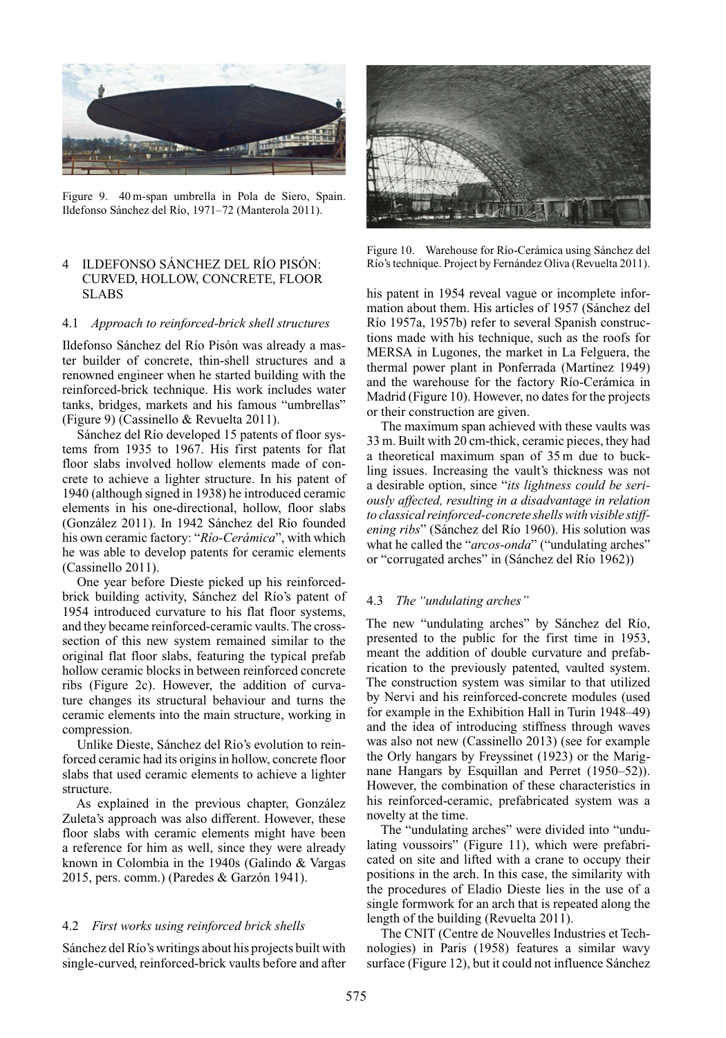

Figure 9. 40 m-span umbrella in Pola de Siero, Spain. Ildefonso Sánchez del Río, 1971–72 (Manterola 2011).

# 4 ILDEFONSO SÁNCHEZ DEL RÍO PISÓN: CURVED, HOLLOW, CONCRETE, FLOOR SLABS

#### 4.1 *Approach to reinforced-brick shell structures*

Ildefonso Sánchez del Río Pisón was already a master builder of concrete, thin-shell structures and a renowned engineer when he started building with the reinforced-brick technique. His work includes water tanks, bridges, markets and his famous "umbrellas" (Figure 9) (Cassinello & Revuelta 2011).

Sánchez del Río developed 15 patents of floor systems from 1935 to 1967. His first patents for flat floor slabs involved hollow elements made of concrete to achieve a lighter structure. In his patent of 1940 (although signed in 1938) he introduced ceramic elements in his one-directional, hollow, floor slabs (González 2011). In 1942 Sánchez del Río founded his own ceramic factory: "*Río-Cerámica*", with which he was able to develop patents for ceramic elements (Cassinello 2011).

One year before Dieste picked up his reinforcedbrick building activity, Sánchez del Río's patent of 1954 introduced curvature to his flat floor systems, and they became reinforced-ceramic vaults.The crosssection of this new system remained similar to the original flat floor slabs, featuring the typical prefab hollow ceramic blocks in between reinforced concrete ribs (Figure 2c). However, the addition of curvature changes its structural behaviour and turns the ceramic elements into the main structure, working in compression.

Unlike Dieste, Sánchez del Río's evolution to reinforced ceramic had its origins in hollow, concrete floor slabs that used ceramic elements to achieve a lighter structure.

As explained in the previous chapter, González Zuleta's approach was also different. However, these floor slabs with ceramic elements might have been a reference for him as well, since they were already known in Colombia in the 1940s (Galindo & Vargas 2015, pers. comm.) (Paredes & Garzón 1941).

#### 4.2 *First works using reinforced brick shells*

Sánchez del Río's writings about his projects built with single-curved, reinforced-brick vaults before and after



Figure 10. Warehouse for Río-Cerámica using Sánchez del Río's technique. Project by Fernández Oliva (Revuelta 2011).

his patent in 1954 reveal vague or incomplete information about them. His articles of 1957 (Sánchez del Río 1957a, 1957b) refer to several Spanish constructions made with his technique, such as the roofs for MERSA in Lugones, the market in La Felguera, the thermal power plant in Ponferrada (Martínez 1949) and the warehouse for the factory Río-Cerámica in Madrid (Figure 10). However, no dates for the projects or their construction are given.

The maximum span achieved with these vaults was 33 m. Built with 20 cm-thick, ceramic pieces, they had a theoretical maximum span of 35 m due to buckling issues. Increasing the vault's thickness was not a desirable option, since "*its lightness could be seriously affected, resulting in a disadvantage in relation to classical reinforced-concrete shells with visible stiffening ribs*" (Sánchez del Río 1960). His solution was what he called the "*arcos-onda*" ("undulating arches" or "corrugated arches" in (Sánchez del Río 1962))

#### 4.3 *The "undulating arches"*

The new "undulating arches" by Sánchez del Río, presented to the public for the first time in 1953, meant the addition of double curvature and prefabrication to the previously patented, vaulted system. The construction system was similar to that utilized by Nervi and his reinforced-concrete modules (used for example in the Exhibition Hall in Turin 1948–49) and the idea of introducing stiffness through waves was also not new (Cassinello 2013) (see for example the Orly hangars by Freyssinet (1923) or the Marignane Hangars by Esquillan and Perret (1950–52)). However, the combination of these characteristics in his reinforced-ceramic, prefabricated system was a novelty at the time.

The "undulating arches" were divided into "undulating voussoirs" (Figure 11), which were prefabricated on site and lifted with a crane to occupy their positions in the arch. In this case, the similarity with the procedures of Eladio Dieste lies in the use of a single formwork for an arch that is repeated along the length of the building (Revuelta 2011).

The CNIT (Centre de Nouvelles Industries et Technologies) in Paris (1958) features a similar wavy surface (Figure 12), but it could not influence Sánchez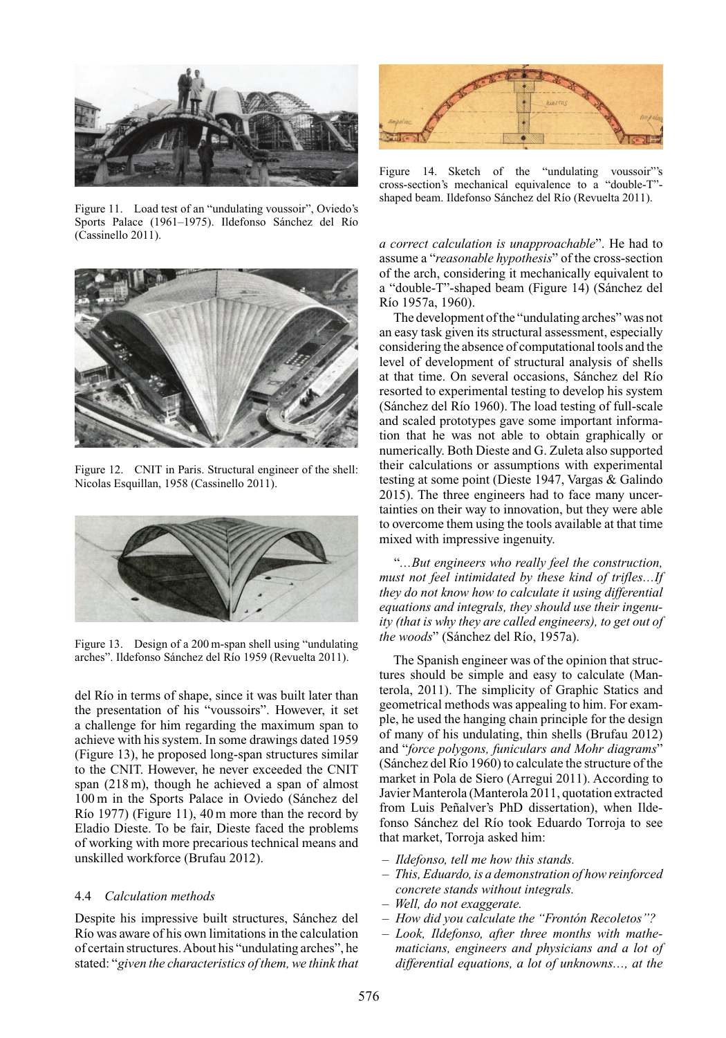

Figure 11. Load test of an "undulating voussoir", Oviedo's Sports Palace (1961–1975). Ildefonso Sánchez del Río (Cassinello 2011).



Figure 12. CNIT in Paris. Structural engineer of the shell: Nicolas Esquillan, 1958 (Cassinello 2011).



Figure 13. Design of a 200 m-span shell using "undulating arches". Ildefonso Sánchez del Río 1959 (Revuelta 2011).

del Río in terms of shape, since it was built later than the presentation of his "voussoirs". However, it set a challenge for him regarding the maximum span to achieve with his system. In some drawings dated 1959 (Figure 13), he proposed long-span structures similar to the CNIT. However, he never exceeded the CNIT span (218 m), though he achieved a span of almost 100 m in the Sports Palace in Oviedo (Sánchez del Río 1977) (Figure 11), 40 m more than the record by Eladio Dieste. To be fair, Dieste faced the problems of working with more precarious technical means and unskilled workforce (Brufau 2012).

# 4.4 *Calculation methods*

Despite his impressive built structures, Sánchez del Río was aware of his own limitations in the calculation of certain structures.About his "undulating arches", he stated: "*given the characteristics of them, we think that*



Figure 14. Sketch of the "undulating voussoir"'s cross-section's mechanical equivalence to a "double-T" shaped beam. Ildefonso Sánchez del Río (Revuelta 2011).

*a correct calculation is unapproachable*". He had to assume a "*reasonable hypothesis*" of the cross-section of the arch, considering it mechanically equivalent to a "double-T"-shaped beam (Figure 14) (Sánchez del Río 1957a, 1960).

The development of the "undulating arches" was not an easy task given its structural assessment, especially considering the absence of computational tools and the level of development of structural analysis of shells at that time. On several occasions, Sánchez del Río resorted to experimental testing to develop his system (Sánchez del Río 1960). The load testing of full-scale and scaled prototypes gave some important information that he was not able to obtain graphically or numerically. Both Dieste and G. Zuleta also supported their calculations or assumptions with experimental testing at some point (Dieste 1947, Vargas & Galindo 2015). The three engineers had to face many uncertainties on their way to innovation, but they were able to overcome them using the tools available at that time mixed with impressive ingenuity.

"*…But engineers who really feel the construction, must not feel intimidated by these kind of trifles…If they do not know how to calculate it using differential equations and integrals, they should use their ingenuity (that is why they are called engineers), to get out of the woods*" (Sánchez del Río, 1957a).

The Spanish engineer was of the opinion that structures should be simple and easy to calculate (Manterola, 2011). The simplicity of Graphic Statics and geometrical methods was appealing to him. For example, he used the hanging chain principle for the design of many of his undulating, thin shells (Brufau 2012) and "*force polygons, funiculars and Mohr diagrams*" (Sánchez del Río 1960) to calculate the structure of the market in Pola de Siero (Arregui 2011). According to Javier Manterola (Manterola 2011, quotation extracted from Luis Peñalver's PhD dissertation), when Ildefonso Sánchez del Río took Eduardo Torroja to see that market, Torroja asked him:

- *Ildefonso, tell me how this stands.*
- *This, Eduardo, is a demonstration of how reinforced concrete stands without integrals.*
- *Well, do not exaggerate.*
- *How did you calculate the "Frontón Recoletos"?*
- *Look, Ildefonso, after three months with mathematicians, engineers and physicians and a lot of differential equations, a lot of unknowns…, at the*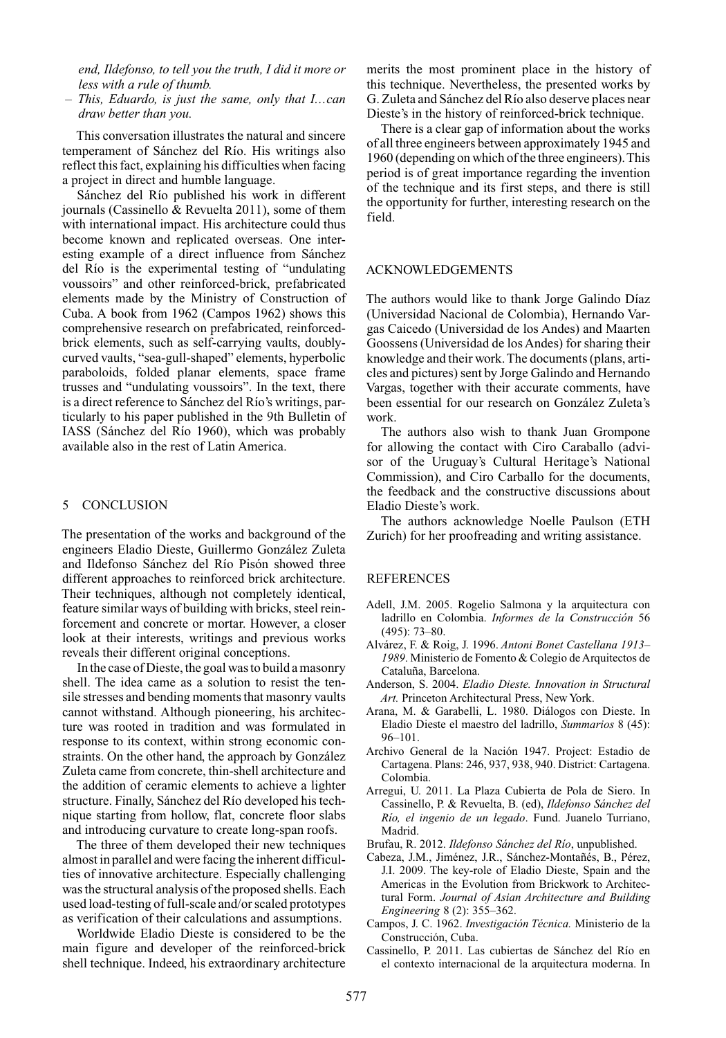*end, Ildefonso, to tell you the truth, I did it more or less with a rule of thumb.*

– *This, Eduardo, is just the same, only that I…can draw better than you.*

This conversation illustrates the natural and sincere temperament of Sánchez del Río. His writings also reflect this fact, explaining his difficulties when facing a project in direct and humble language.

Sánchez del Río published his work in different journals (Cassinello & Revuelta 2011), some of them with international impact. His architecture could thus become known and replicated overseas. One interesting example of a direct influence from Sánchez del Río is the experimental testing of "undulating voussoirs" and other reinforced-brick, prefabricated elements made by the Ministry of Construction of Cuba. A book from 1962 (Campos 1962) shows this comprehensive research on prefabricated, reinforcedbrick elements, such as self-carrying vaults, doublycurved vaults, "sea-gull-shaped" elements, hyperbolic paraboloids, folded planar elements, space frame trusses and "undulating voussoirs". In the text, there is a direct reference to Sánchez del Río's writings, particularly to his paper published in the 9th Bulletin of IASS (Sánchez del Río 1960), which was probably available also in the rest of Latin America.

## 5 CONCLUSION

The presentation of the works and background of the engineers Eladio Dieste, Guillermo González Zuleta and Ildefonso Sánchez del Río Pisón showed three different approaches to reinforced brick architecture. Their techniques, although not completely identical, feature similar ways of building with bricks, steel reinforcement and concrete or mortar. However, a closer look at their interests, writings and previous works reveals their different original conceptions.

In the case of Dieste, the goal was to build a masonry shell. The idea came as a solution to resist the tensile stresses and bending moments that masonry vaults cannot withstand. Although pioneering, his architecture was rooted in tradition and was formulated in response to its context, within strong economic constraints. On the other hand, the approach by González Zuleta came from concrete, thin-shell architecture and the addition of ceramic elements to achieve a lighter structure. Finally, Sánchez del Río developed his technique starting from hollow, flat, concrete floor slabs and introducing curvature to create long-span roofs.

The three of them developed their new techniques almost in parallel and were facing the inherent difficulties of innovative architecture. Especially challenging was the structural analysis of the proposed shells. Each used load-testing of full-scale and/or scaled prototypes as verification of their calculations and assumptions.

Worldwide Eladio Dieste is considered to be the main figure and developer of the reinforced-brick shell technique. Indeed, his extraordinary architecture merits the most prominent place in the history of this technique. Nevertheless, the presented works by G. Zuleta and Sánchez del Río also deserve places near Dieste's in the history of reinforced-brick technique.

There is a clear gap of information about the works of all three engineers between approximately 1945 and 1960 (depending on which of the three engineers).This period is of great importance regarding the invention of the technique and its first steps, and there is still the opportunity for further, interesting research on the field.

#### ACKNOWLEDGEMENTS

The authors would like to thank Jorge Galindo Díaz (Universidad Nacional de Colombia), Hernando Vargas Caicedo (Universidad de los Andes) and Maarten Goossens (Universidad de los Andes) for sharing their knowledge and their work. The documents (plans, articles and pictures) sent by Jorge Galindo and Hernando Vargas, together with their accurate comments, have been essential for our research on González Zuleta's work.

The authors also wish to thank Juan Grompone for allowing the contact with Ciro Caraballo (advisor of the Uruguay's Cultural Heritage's National Commission), and Ciro Carballo for the documents, the feedback and the constructive discussions about Eladio Dieste's work.

The authors acknowledge Noelle Paulson (ETH Zurich) for her proofreading and writing assistance.

#### **REFERENCES**

- Adell, J.M. 2005. Rogelio Salmona y la arquitectura con ladrillo en Colombia. *Informes de la Construcción* 56 (495): 73–80.
- Alvárez, F. & Roig, J. 1996. *Antoni Bonet Castellana 1913– 1989*. Ministerio de Fomento & Colegio de Arquitectos de Cataluña, Barcelona.
- Anderson, S. 2004. *Eladio Dieste. Innovation in Structural Art.* Princeton Architectural Press, New York.
- Arana, M. & Garabelli, L. 1980. Diálogos con Dieste. In Eladio Dieste el maestro del ladrillo, *Summarios* 8 (45): 96–101.
- Archivo General de la Nación 1947. Project: Estadio de Cartagena. Plans: 246, 937, 938, 940. District: Cartagena. Colombia.
- Arregui, U. 2011. La Plaza Cubierta de Pola de Siero. In Cassinello, P. & Revuelta, B. (ed), *Ildefonso Sánchez del Río, el ingenio de un legado*. Fund. Juanelo Turriano, Madrid.
- Brufau, R. 2012. *Ildefonso Sánchez del Río*, unpublished.
- Cabeza, J.M., Jiménez, J.R., Sánchez-Montañés, B., Pérez, J.I. 2009. The key-role of Eladio Dieste, Spain and the Americas in the Evolution from Brickwork to Architectural Form. *Journal of Asian Architecture and Building Engineering* 8 (2): 355–362.
- Campos, J. C. 1962. *Investigación Técnica.* Ministerio de la Construcción, Cuba.
- Cassinello, P. 2011. Las cubiertas de Sánchez del Río en el contexto internacional de la arquitectura moderna. In